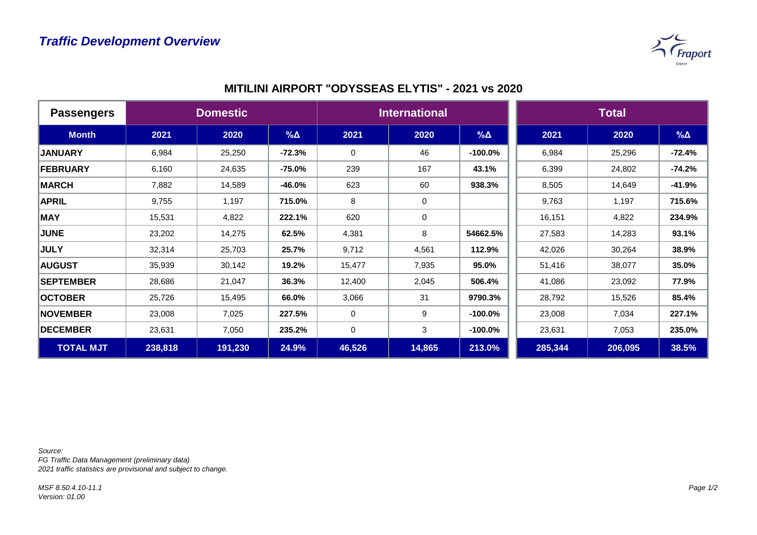

|  | <b>MITILINI AIRPORT "ODYSSEAS ELYTIS" - 2021 vs 2020</b> |  |
|--|----------------------------------------------------------|--|
|--|----------------------------------------------------------|--|

| <b>Passengers</b> | <b>Domestic</b> |         |             | <b>International</b> |             |            | <b>Total</b> |         |            |
|-------------------|-----------------|---------|-------------|----------------------|-------------|------------|--------------|---------|------------|
| <b>Month</b>      | 2021            | 2020    | $\% \Delta$ | 2021                 | 2020        | $% \Delta$ | 2021         | 2020    | $% \Delta$ |
| <b>JANUARY</b>    | 6,984           | 25,250  | $-72.3%$    | 0                    | 46          | $-100.0\%$ | 6,984        | 25,296  | $-72.4%$   |
| FEBRUARY          | 6,160           | 24,635  | $-75.0%$    | 239                  | 167         | 43.1%      | 6,399        | 24,802  | $-74.2%$   |
| <b>MARCH</b>      | 7,882           | 14,589  | $-46.0%$    | 623                  | 60          | 938.3%     | 8,505        | 14,649  | $-41.9%$   |
| <b>APRIL</b>      | 9,755           | 1,197   | 715.0%      | 8                    | $\mathbf 0$ |            | 9,763        | 1,197   | 715.6%     |
| <b>MAY</b>        | 15,531          | 4,822   | 222.1%      | 620                  | $\mathbf 0$ |            | 16,151       | 4,822   | 234.9%     |
| <b>JUNE</b>       | 23,202          | 14,275  | 62.5%       | 4,381                | 8           | 54662.5%   | 27,583       | 14,283  | 93.1%      |
| <b>JULY</b>       | 32,314          | 25,703  | 25.7%       | 9,712                | 4,561       | 112.9%     | 42,026       | 30,264  | 38.9%      |
| <b>AUGUST</b>     | 35,939          | 30,142  | 19.2%       | 15,477               | 7,935       | 95.0%      | 51,416       | 38,077  | 35.0%      |
| <b>SEPTEMBER</b>  | 28,686          | 21,047  | 36.3%       | 12,400               | 2,045       | 506.4%     | 41,086       | 23,092  | 77.9%      |
| <b>OCTOBER</b>    | 25,726          | 15,495  | 66.0%       | 3,066                | 31          | 9790.3%    | 28,792       | 15,526  | 85.4%      |
| <b>NOVEMBER</b>   | 23,008          | 7,025   | 227.5%      | $\Omega$             | 9           | $-100.0\%$ | 23,008       | 7,034   | 227.1%     |
| <b>DECEMBER</b>   | 23,631          | 7,050   | 235.2%      | 0                    | 3           | $-100.0\%$ | 23,631       | 7,053   | 235.0%     |
| <b>TOTAL MJT</b>  | 238,818         | 191,230 | 24.9%       | 46,526               | 14,865      | 213.0%     | 285,344      | 206,095 | 38.5%      |

*Source:* 

*FG Traffic Data Management (preliminary data) 2021 traffic statistics are provisional and subject to change.*

*MSF 8.50.4.10-11.1 Version: 01.00*